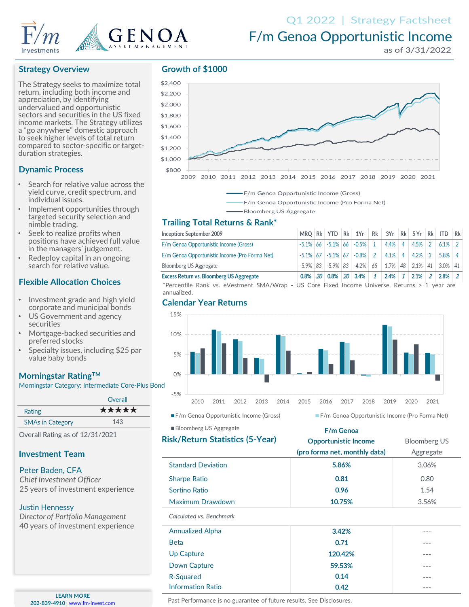

# F/m Genoa Opportunistic Income

# **Strategy Overview**

The Strategy seeks to maximize total return, including both income and appreciation, by identifying undervalued and opportunistic sectors and securities in the US fixed income markets. The Strategy utilizes a "go anywhere" domestic approach to seek higher levels of total return compared to sector-specific or targetduration strategies.

## **Dynamic Process**

- Search for relative value across the yield curve, credit spectrum, and individual issues.
- Implement opportunities through targeted security selection and nimble trading.
- Seek to realize profits when positions have achieved full value in the managers' judgement.
- Redeploy capital in an ongoing search for relative value.

## **Flexible Allocation Choices**

- Investment grade and high yield corporate and municipal bonds
- US Government and agency securities
- Mortgage-backed securities and preferred stocks
- Specialty issues, including \$25 par value baby bonds

## **Morningstar RatingTM**

Morningstar Category: Intermediate Core-Plus Bond

|                         | Overall |
|-------------------------|---------|
| Rating                  | *****   |
| <b>SMAs in Category</b> | 143     |

### **Investment Team**

### Peter Baden, CFA

*Chief Investment Officer* 25 years of investment experience

### Justin Hennessy

*Director of Portfolio Management* 40 years of investment experience

**LEARN MORE 202-839-4910** | [www.fm-invest.com](http://www.fm-funds.com/)

### **Growth of \$1000**





#### Bloomberg US Aggregate

## **Trailing Total Returns & Rank\***

| Inception: September 2009                       |         |  | MRO Rk YTD Rk 1Yr Rk 3Yr Rk 5Yr Rk ITD                      |              |                  |                   |           | Rk |
|-------------------------------------------------|---------|--|-------------------------------------------------------------|--------------|------------------|-------------------|-----------|----|
| F/m Genoa Opportunistic Income (Gross)          |         |  | $-5.1\%$ 66 $-5.1\%$ 66 $-0.5\%$ 1                          |              | $4.4\%$ 4 4.5% 2 |                   | $6.1\%$   |    |
| F/m Genoa Opportunistic Income (Pro Forma Net)  |         |  | $-5.1\%$ 67 $-5.1\%$ 67 $-0.8\%$ 2                          |              |                  | $4.1\%$ 4 4.2\% 3 | $5.8\%$ 4 |    |
| <b>Bloomberg US Aggregate</b>                   |         |  | $-5.9\%$ 83 $-5.9\%$ 83 $-4.2\%$ 65 1.7% 48 2.1% 41 3.0% 41 |              |                  |                   |           |    |
| <b>Excess Return vs. Bloomberg US Aggregate</b> | $0.8\%$ |  | 20 0.8% 20 3.4%                                             | $\mathbf{1}$ | $2.4\%$ 1        | $2.1\%$           | 2.8%      |    |

\*Percentile Rank vs. eVestment SMA/Wrap - US Core Fixed Income Universe. Returns > 1 year are annualized.

### **Calendar Year Returns**



Bloomberg US Aggregate

### **F/m Genoa**

| <b>Risk/Return Statistics (5-Year)</b> | <b>Opportunistic Income</b>   | <b>Bloomberg US</b> |  |  |
|----------------------------------------|-------------------------------|---------------------|--|--|
|                                        | (pro forma net, monthly data) | Aggregate           |  |  |
| <b>Standard Deviation</b>              | 5.86%                         | 3.06%               |  |  |
| <b>Sharpe Ratio</b>                    | 0.81                          | 0.80                |  |  |
| Sortino Ratio                          | 0.96                          | 1.54                |  |  |
| Maximum Drawdown                       | 10.75%                        | 3.56%               |  |  |
| Calculated vs. Benchmark               |                               |                     |  |  |
|                                        |                               |                     |  |  |

| <b>Annualized Alpha</b>  | 3.42%   | --- |
|--------------------------|---------|-----|
| <b>Beta</b>              | 0.71    | --- |
| Up Capture               | 120.42% | --- |
| Down Capture             | 59.53%  | --- |
| R-Squared                | 0.14    | --- |
| <b>Information Ratio</b> | 0.42    | --- |

Past Performance is no guarantee of future results. See Disclosures.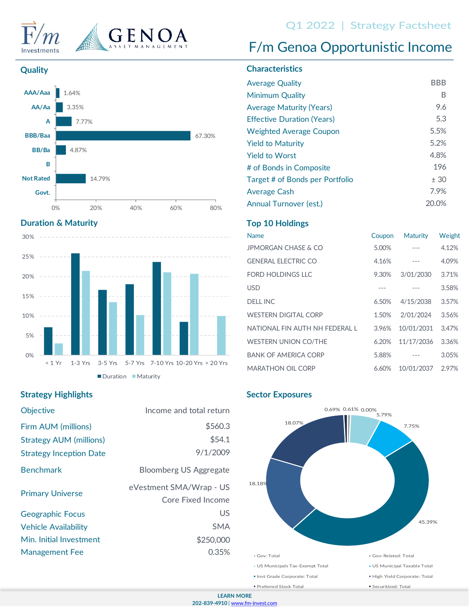



# Q1 2022 | Strategy Factsheet<br>F/m Genoa Opportunistic Income





# **Duration & Maturity**



# **Strategy Highlights**

| <b>Objective</b>               | Income and total return                      |
|--------------------------------|----------------------------------------------|
| Firm AUM (millions)            | \$560.3                                      |
| <b>Strategy AUM (millions)</b> | \$54.1                                       |
| <b>Strategy Inception Date</b> | 9/1/2009                                     |
| <b>Benchmark</b>               | <b>Bloomberg US Aggregate</b>                |
| <b>Primary Universe</b>        | eVestment SMA/Wrap - US<br>Core Fixed Income |
| <b>Geographic Focus</b>        | US                                           |
| <b>Vehicle Availability</b>    | <b>SMA</b>                                   |
| Min. Initial Investment        | \$250,000                                    |
| <b>Management Fee</b>          | 0.35%                                        |

# **Quality Characteristics**

| <b>Average Quality</b>            | BBB   |
|-----------------------------------|-------|
| Minimum Quality                   | В     |
| <b>Average Maturity (Years)</b>   | 9.6   |
| <b>Effective Duration (Years)</b> | 5.3   |
| <b>Weighted Average Coupon</b>    | 5.5%  |
| <b>Yield to Maturity</b>          | 5.2%  |
| Yield to Worst                    | 4.8%  |
| # of Bonds in Composite           | 196   |
| Target # of Bonds per Portfolio   | ± 30  |
| Average Cash                      | 7.9%  |
| Annual Turnover (est.)            | 20.0% |

# **Top 10 Holdings**

| <b>Name</b>                   | Coupon | <b>Maturity</b> | Weight |
|-------------------------------|--------|-----------------|--------|
| JPMORGAN CHASE & CO           | 5.00%  |                 | 4.12%  |
| <b>GENERAL ELECTRIC CO</b>    | 4.16%  |                 | 4.09%  |
| FORD HOLDINGS LLC             | 9.30%  | 3/01/2030       | 3.71%  |
| <b>USD</b>                    |        |                 | 3.58%  |
| <b>DELL INC</b>               | 6.50%  | 4/15/2038       | 3.57%  |
| <b>WESTERN DIGITAL CORP</b>   | 1.50%  | 2/01/2024       | 3.56%  |
| NATIONAL FIN AUTH NH FFDFRALL | 3.96%  | 10/01/2031      | 3.47%  |
| <b>WESTERN UNION CO/THE</b>   | 6.20%  | 11/17/2036      | 3.36%  |
| <b>BANK OF AMERICA CORP</b>   | 5.88%  |                 | 3.05%  |
| <b>MARATHON OIL CORP</b>      | 6.60%  | 10/01/2037      | 2.97%  |
|                               |        |                 |        |

# **Sector Exposures**

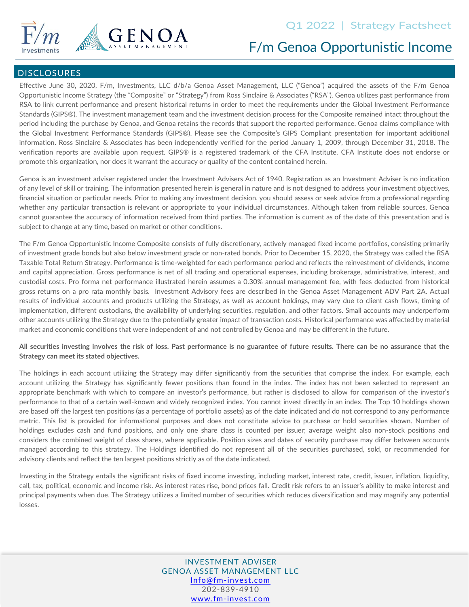



# F/m Genoa Opportunistic Income

### **DISCLOSURES**

Effective June 30, 2020, F/m, Investments, LLC d/b/a Genoa Asset Management, LLC ("Genoa") acquired the assets of the F/m Genoa Opportunistic Income Strategy (the "Composite" or "Strategy") from Ross Sinclaire & Associates ("RSA"). Genoa utilizes past performance from RSA to link current performance and present historical returns in order to meet the requirements under the Global Investment Performance Standards (GIPS®). The investment management team and the investment decision process for the Composite remained intact throughout the period including the purchase by Genoa, and Genoa retains the records that support the reported performance. Genoa claims compliance with the Global Investment Performance Standards (GIPS®). Please see the Composite's GIPS Compliant presentation for important additional information. Ross Sinclaire & Associates has been independently verified for the period January 1, 2009, through December 31, 2018. The verification reports are available upon request. GIPS® is a registered trademark of the CFA Institute. CFA Institute does not endorse or promote this organization, nor does it warrant the accuracy or quality of the content contained herein.

Genoa is an investment adviser registered under the Investment Advisers Act of 1940. Registration as an Investment Adviser is no indication of any level of skill or training. The information presented herein is general in nature and is not designed to address your investment objectives, financial situation or particular needs. Prior to making any investment decision, you should assess or seek advice from a professional regarding whether any particular transaction is relevant or appropriate to your individual circumstances. Although taken from reliable sources, Genoa cannot guarantee the accuracy of information received from third parties. The information is current as of the date of this presentation and is subject to change at any time, based on market or other conditions.

The F/m Genoa Opportunistic Income Composite consists of fully discretionary, actively managed fixed income portfolios, consisting primarily of investment grade bonds but also below investment grade or non-rated bonds. Prior to December 15, 2020, the Strategy was called the RSA Taxable Total Return Strategy. Performance is time-weighted for each performance period and reflects the reinvestment of dividends, income and capital appreciation. Gross performance is net of all trading and operational expenses, including brokerage, administrative, interest, and custodial costs. Pro forma net performance illustrated herein assumes a 0.30% annual management fee, with fees deducted from historical gross returns on a pro rata monthly basis. Investment Advisory fees are described in the Genoa Asset Management ADV Part 2A. Actual results of individual accounts and products utilizing the Strategy, as well as account holdings, may vary due to client cash flows, timing of implementation, different custodians, the availability of underlying securities, regulation, and other factors. Small accounts may underperform other accounts utilizing the Strategy due to the potentially greater impact of transaction costs. Historical performance was affected by material market and economic conditions that were independent of and not controlled by Genoa and may be different in the future.

### All securities investing involves the risk of loss. Past performance is no guarantee of future results. There can be no assurance that the **Strategy can meet its stated objectives.**

The holdings in each account utilizing the Strategy may differ significantly from the securities that comprise the index. For example, each account utilizing the Strategy has significantly fewer positions than found in the index. The index has not been selected to represent an appropriate benchmark with which to compare an investor's performance, but rather is disclosed to allow for comparison of the investor's performance to that of a certain well-known and widely recognized index. You cannot invest directly in an index. The Top 10 holdings shown are based off the largest ten positions (as a percentage of portfolio assets) as of the date indicated and do not correspond to any performance metric. This list is provided for informational purposes and does not constitute advice to purchase or hold securities shown. Number of holdings excludes cash and fund positions, and only one share class is counted per issuer; average weight also non-stock positions and considers the combined weight of class shares, where applicable. Position sizes and dates of security purchase may differ between accounts managed according to this strategy. The Holdings identified do not represent all of the securities purchased, sold, or recommended for advisory clients and reflect the ten largest positions strictly as of the date indicated.

Investing in the Strategy entails the significant risks of fixed income investing, including market, interest rate, credit, issuer, inflation, liquidity, call, tax, political, economic and income risk. As interest rates rise, bond prices fall. Credit risk refers to an issuer's ability to make interest and principal payments when due. The Strategy utilizes a limited number of securities which reduces diversification and may magnify any potential losses.

> INVESTMENT ADVISER GENOA ASSET MANAGEMENT LLC [Info@fm-invest.com](mailto:Info@fm-funds.com) 202-839-4910 [www.fm-invest.com](http://www.fm-invest.com/)